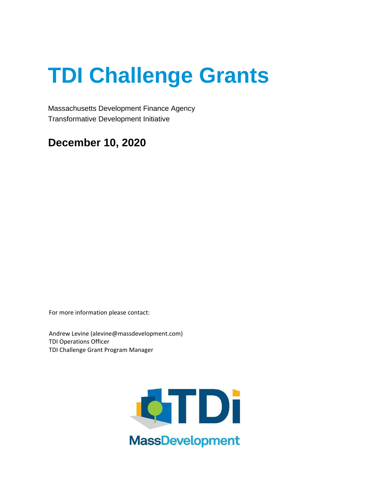Massachusetts Development Finance Agency Transformative Development Initiative

# **December 10, 2020**

For more information please contact:

Andrew Levine (alevine@massdevelopment.com) TDI Operations Officer TDI Challenge Grant Program Manager

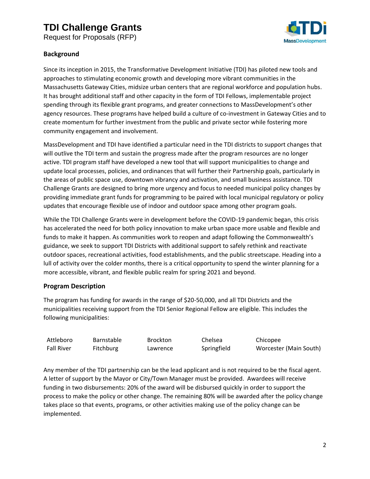Request for Proposals (RFP)



### **Background**

Since its inception in 2015, the Transformative Development Initiative (TDI) has piloted new tools and approaches to stimulating economic growth and developing more vibrant communities in the Massachusetts Gateway Cities, midsize urban centers that are regional workforce and population hubs. It has brought additional staff and other capacity in the form of TDI Fellows, implementable project spending through its flexible grant programs, and greater connections to MassDevelopment's other agency resources. These programs have helped build a culture of co-investment in Gateway Cities and to create momentum for further investment from the public and private sector while fostering more community engagement and involvement.

MassDevelopment and TDI have identified a particular need in the TDI districts to support changes that will outlive the TDI term and sustain the progress made after the program resources are no longer active. TDI program staff have developed a new tool that will support municipalities to change and update local processes, policies, and ordinances that will further their Partnership goals, particularly in the areas of public space use, downtown vibrancy and activation, and small business assistance. TDI Challenge Grants are designed to bring more urgency and focus to needed municipal policy changes by providing immediate grant funds for programming to be paired with local municipal regulatory or policy updates that encourage flexible use of indoor and outdoor space among other program goals.

While the TDI Challenge Grants were in development before the COVID-19 pandemic began, this crisis has accelerated the need for both policy innovation to make urban space more usable and flexible and funds to make it happen. As communities work to reopen and adapt following the Commonwealth's guidance, we seek to support TDI Districts with additional support to safely rethink and reactivate outdoor spaces, recreational activities, food establishments, and the public streetscape. Heading into a lull of activity over the colder months, there is a critical opportunity to spend the winter planning for a more accessible, vibrant, and flexible public realm for spring 2021 and beyond.

### **Program Description**

The program has funding for awards in the range of \$20-50,000, and all TDI Districts and the municipalities receiving support from the TDI Senior Regional Fellow are eligible. This includes the following municipalities:

| Attleboro         | <b>Barnstable</b> | <b>Brockton</b> | Chelsea     | Chicopee               |
|-------------------|-------------------|-----------------|-------------|------------------------|
| <b>Fall River</b> | <b>Fitchburg</b>  | Lawrence        | Springfield | Worcester (Main South) |

Any member of the TDI partnership can be the lead applicant and is not required to be the fiscal agent. A letter of support by the Mayor or City/Town Manager must be provided. Awardees will receive funding in two disbursements: 20% of the award will be disbursed quickly in order to support the process to make the policy or other change. The remaining 80% will be awarded after the policy change takes place so that events, programs, or other activities making use of the policy change can be implemented.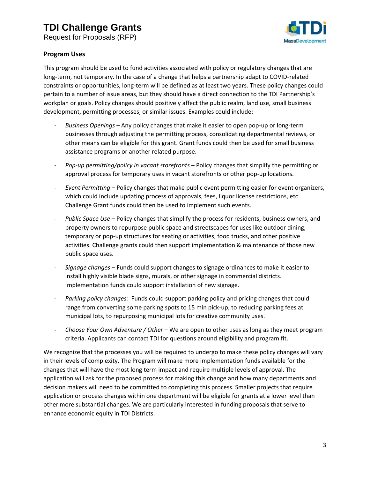Request for Proposals (RFP)



#### **Program Uses**

This program should be used to fund activities associated with policy or regulatory changes that are long-term, not temporary. In the case of a change that helps a partnership adapt to COVID-related constraints or opportunities, long-term will be defined as at least two years. These policy changes could pertain to a number of issue areas, but they should have a direct connection to the TDI Partnership's workplan or goals. Policy changes should positively affect the public realm, land use, small business development, permitting processes, or similar issues. Examples could include:

- *Business Openings –* Any policy changes that make it easier to open pop-up or long-term businesses through adjusting the permitting process, consolidating departmental reviews, or other means can be eligible for this grant. Grant funds could then be used for small business assistance programs or another related purpose.
- *Pop-up permitting/policy in vacant storefronts* Policy changes that simplify the permitting or approval process for temporary uses in vacant storefronts or other pop-up locations.
- *Event Permitting* Policy changes that make public event permitting easier for event organizers, which could include updating process of approvals, fees, liquor license restrictions, etc. Challenge Grant funds could then be used to implement such events.
- Public Space Use Policy changes that simplify the process for residents, business owners, and property owners to repurpose public space and streetscapes for uses like outdoor dining, temporary or pop-up structures for seating or activities, food trucks, and other positive activities. Challenge grants could then support implementation & maintenance of those new public space uses.
- *Signage changes* Funds could support changes to signage ordinances to make it easier to install highly visible blade signs, murals, or other signage in commercial districts. Implementation funds could support installation of new signage.
- Parking policy changes: Funds could support parking policy and pricing changes that could range from converting some parking spots to 15 min pick-up, to reducing parking fees at municipal lots, to repurposing municipal lots for creative community uses.
- *Choose Your Own Adventure / Other* We are open to other uses as long as they meet program criteria. Applicants can contact TDI for questions around eligibility and program fit.

We recognize that the processes you will be required to undergo to make these policy changes will vary in their levels of complexity. The Program will make more implementation funds available for the changes that will have the most long term impact and require multiple levels of approval. The application will ask for the proposed process for making this change and how many departments and decision makers will need to be committed to completing this process. Smaller projects that require application or process changes within one department will be eligible for grants at a lower level than other more substantial changes. We are particularly interested in funding proposals that serve to enhance economic equity in TDI Districts.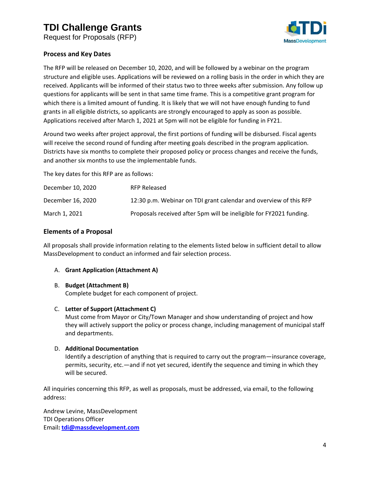Request for Proposals (RFP)



#### **Process and Key Dates**

The RFP will be released on December 10, 2020, and will be followed by a webinar on the program structure and eligible uses. Applications will be reviewed on a rolling basis in the order in which they are received. Applicants will be informed of their status two to three weeks after submission. Any follow up questions for applicants will be sent in that same time frame. This is a competitive grant program for which there is a limited amount of funding. It is likely that we will not have enough funding to fund grants in all eligible districts, so applicants are strongly encouraged to apply as soon as possible. Applications received after March 1, 2021 at 5pm will not be eligible for funding in FY21.

Around two weeks after project approval, the first portions of funding will be disbursed. Fiscal agents will receive the second round of funding after meeting goals described in the program application. Districts have six months to complete their proposed policy or process changes and receive the funds, and another six months to use the implementable funds.

The key dates for this RFP are as follows:

| December 10, 2020 | <b>RFP Released</b>                                                 |
|-------------------|---------------------------------------------------------------------|
| December 16, 2020 | 12:30 p.m. Webinar on TDI grant calendar and overview of this RFP   |
| March 1, 2021     | Proposals received after 5pm will be ineligible for FY2021 funding. |

### **Elements of a Proposal**

All proposals shall provide information relating to the elements listed below in sufficient detail to allow MassDevelopment to conduct an informed and fair selection process.

#### A. **Grant Application (Attachment A)**

#### B. **Budget (Attachment B)**

Complete budget for each component of project.

#### C. **Letter of Support (Attachment C)**

Must come from Mayor or City/Town Manager and show understanding of project and how they will actively support the policy or process change, including management of municipal staff and departments.

#### D. **Additional Documentation**

Identify a description of anything that is required to carry out the program—insurance coverage, permits, security, etc.—and if not yet secured, identify the sequence and timing in which they will be secured.

All inquiries concerning this RFP, as well as proposals, must be addressed, via email, to the following address:

Andrew Levine, MassDevelopment TDI Operations Officer Email**: [tdi@massdevelopment.com](mailto:tdi@massdevelopment.com)**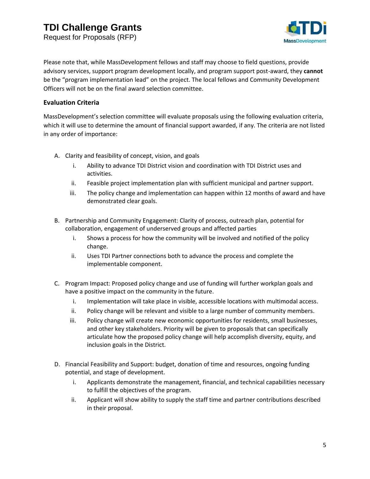Request for Proposals (RFP)



Please note that, while MassDevelopment fellows and staff may choose to field questions, provide advisory services, support program development locally, and program support post-award, they **cannot** be the "program implementation lead" on the project. The local fellows and Community Development Officers will not be on the final award selection committee.

#### **Evaluation Criteria**

MassDevelopment's selection committee will evaluate proposals using the following evaluation criteria, which it will use to determine the amount of financial support awarded, if any. The criteria are not listed in any order of importance:

- A. Clarity and feasibility of concept, vision, and goals
	- i. Ability to advance TDI District vision and coordination with TDI District uses and activities.
	- ii. Feasible project implementation plan with sufficient municipal and partner support.
	- iii. The policy change and implementation can happen within 12 months of award and have demonstrated clear goals.
- B. Partnership and Community Engagement: Clarity of process, outreach plan, potential for collaboration, engagement of underserved groups and affected parties
	- i. Shows a process for how the community will be involved and notified of the policy change.
	- ii. Uses TDI Partner connections both to advance the process and complete the implementable component.
- C. Program Impact: Proposed policy change and use of funding will further workplan goals and have a positive impact on the community in the future.
	- i. Implementation will take place in visible, accessible locations with multimodal access.
	- ii. Policy change will be relevant and visible to a large number of community members.
	- iii. Policy change will create new economic opportunities for residents, small businesses, and other key stakeholders. Priority will be given to proposals that can specifically articulate how the proposed policy change will help accomplish diversity, equity, and inclusion goals in the District.
- D. Financial Feasibility and Support: budget, donation of time and resources, ongoing funding potential, and stage of development.
	- i. Applicants demonstrate the management, financial, and technical capabilities necessary to fulfill the objectives of the program.
	- ii. Applicant will show ability to supply the staff time and partner contributions described in their proposal.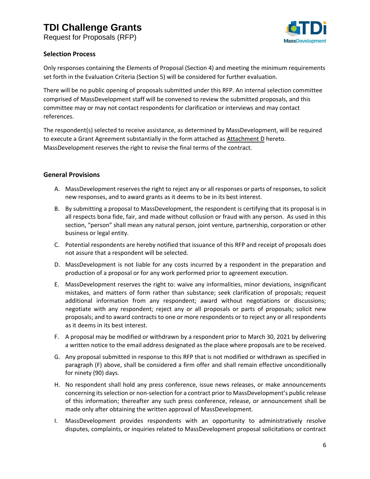Request for Proposals (RFP)



#### **Selection Process**

Only responses containing the Elements of Proposal (Section 4) and meeting the minimum requirements set forth in the Evaluation Criteria (Section 5) will be considered for further evaluation.

There will be no public opening of proposals submitted under this RFP. An internal selection committee comprised of MassDevelopment staff will be convened to review the submitted proposals, and this committee may or may not contact respondents for clarification or interviews and may contact references.

The respondent(s) selected to receive assistance, as determined by MassDevelopment, will be required to execute a Grant Agreement substantially in the form attached as Attachment D hereto. MassDevelopment reserves the right to revise the final terms of the contract.

### **General Provisions**

- A. MassDevelopment reserves the right to reject any or all responses or parts of responses, to solicit new responses, and to award grants as it deems to be in its best interest.
- B. By submitting a proposal to MassDevelopment, the respondent is certifying that its proposal is in all respects bona fide, fair, and made without collusion or fraud with any person. As used in this section, "person" shall mean any natural person, joint venture, partnership, corporation or other business or legal entity.
- C. Potential respondents are hereby notified that issuance of this RFP and receipt of proposals does not assure that a respondent will be selected.
- D. MassDevelopment is not liable for any costs incurred by a respondent in the preparation and production of a proposal or for any work performed prior to agreement execution.
- E. MassDevelopment reserves the right to: waive any informalities, minor deviations, insignificant mistakes, and matters of form rather than substance; seek clarification of proposals; request additional information from any respondent; award without negotiations or discussions; negotiate with any respondent; reject any or all proposals or parts of proposals; solicit new proposals; and to award contracts to one or more respondents or to reject any or all respondents as it deems in its best interest.
- F. A proposal may be modified or withdrawn by a respondent prior to March 30, 2021 by delivering a written notice to the email address designated as the place where proposals are to be received.
- G. Any proposal submitted in response to this RFP that is not modified or withdrawn as specified in paragraph (F) above, shall be considered a firm offer and shall remain effective unconditionally for ninety (90) days.
- H. No respondent shall hold any press conference, issue news releases, or make announcements concerning its selection or non-selection for a contract prior to MassDevelopment's public release of this information; thereafter any such press conference, release, or announcement shall be made only after obtaining the written approval of MassDevelopment.
- I. MassDevelopment provides respondents with an opportunity to administratively resolve disputes, complaints, or inquiries related to MassDevelopment proposal solicitations or contract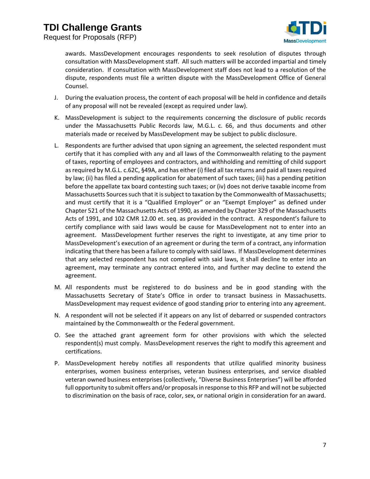Request for Proposals (RFP)



awards. MassDevelopment encourages respondents to seek resolution of disputes through consultation with MassDevelopment staff. All such matters will be accorded impartial and timely consideration. If consultation with MassDevelopment staff does not lead to a resolution of the dispute, respondents must file a written dispute with the MassDevelopment Office of General Counsel.

- J. During the evaluation process, the content of each proposal will be held in confidence and details of any proposal will not be revealed (except as required under law).
- K. MassDevelopment is subject to the requirements concerning the disclosure of public records under the Massachusetts Public Records law, M.G.L. c. 66, and thus documents and other materials made or received by MassDevelopment may be subject to public disclosure.
- L. Respondents are further advised that upon signing an agreement, the selected respondent must certify that it has complied with any and all laws of the Commonwealth relating to the payment of taxes, reporting of employees and contractors, and withholding and remitting of child support as required by M.G.L. c.62C, §49A, and has either (i) filed all tax returns and paid all taxes required by law; (ii) has filed a pending application for abatement of such taxes; (iii) has a pending petition before the appellate tax board contesting such taxes; or (iv) does not derive taxable income from Massachusetts Sources such that it is subject to taxation by the Commonwealth of Massachusetts; and must certify that it is a "Qualified Employer" or an "Exempt Employer" as defined under Chapter 521 of the Massachusetts Acts of 1990, as amended by Chapter 329 of the Massachusetts Acts of 1991, and 102 CMR 12.00 et. seq. as provided in the contract. A respondent's failure to certify compliance with said laws would be cause for MassDevelopment not to enter into an agreement. MassDevelopment further reserves the right to investigate, at any time prior to MassDevelopment's execution of an agreement or during the term of a contract, any information indicating that there has been a failure to comply with said laws. If MassDevelopment determines that any selected respondent has not complied with said laws, it shall decline to enter into an agreement, may terminate any contract entered into, and further may decline to extend the agreement.
- M. All respondents must be registered to do business and be in good standing with the Massachusetts Secretary of State's Office in order to transact business in Massachusetts. MassDevelopment may request evidence of good standing prior to entering into any agreement.
- N. A respondent will not be selected if it appears on any list of debarred or suspended contractors maintained by the Commonwealth or the Federal government.
- O. See the attached grant agreement form for other provisions with which the selected respondent(s) must comply. MassDevelopment reserves the right to modify this agreement and certifications.
- P. MassDevelopment hereby notifies all respondents that utilize qualified minority business enterprises, women business enterprises, veteran business enterprises, and service disabled veteran owned business enterprises (collectively, "Diverse Business Enterprises") will be afforded full opportunity to submit offers and/or proposals in response to this RFP and will not be subjected to discrimination on the basis of race, color, sex, or national origin in consideration for an award.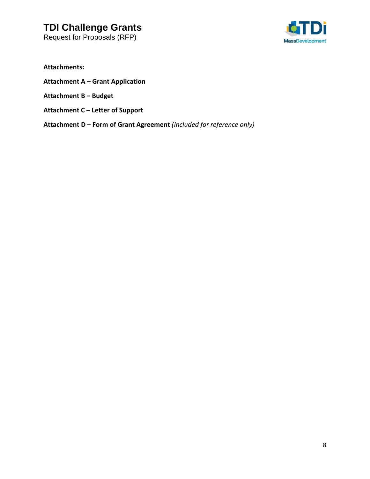Request for Proposals (RFP)



**Attachments:**

- **Attachment A – Grant Application**
- **Attachment B – Budget**
- **Attachment C – Letter of Support**
- **Attachment D – Form of Grant Agreement** *(Included for reference only)*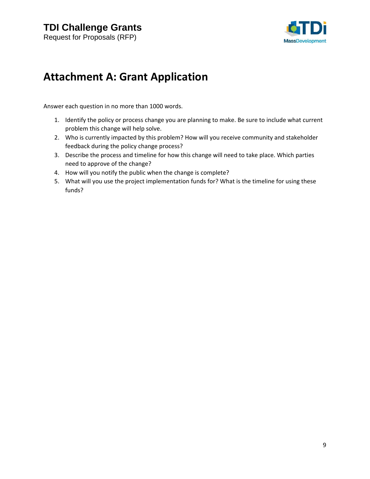

# **Attachment A: Grant Application**

Answer each question in no more than 1000 words.

- 1. Identify the policy or process change you are planning to make. Be sure to include what current problem this change will help solve.
- 2. Who is currently impacted by this problem? How will you receive community and stakeholder feedback during the policy change process?
- 3. Describe the process and timeline for how this change will need to take place. Which parties need to approve of the change?
- 4. How will you notify the public when the change is complete?
- 5. What will you use the project implementation funds for? What is the timeline for using these funds?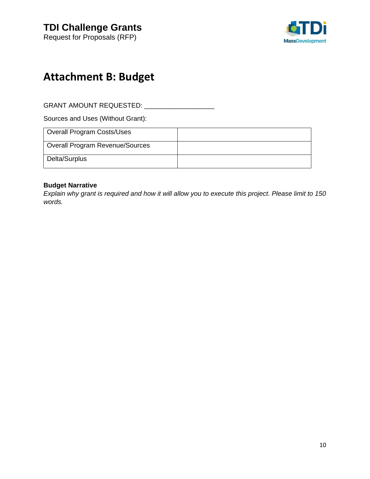

# **Attachment B: Budget**

GRANT AMOUNT REQUESTED: \_\_\_\_\_\_\_\_\_\_\_\_\_\_\_\_\_\_\_

Sources and Uses (Without Grant):

| Overall Program Costs/Uses      |  |
|---------------------------------|--|
| Overall Program Revenue/Sources |  |
| Delta/Surplus                   |  |

### **Budget Narrative**

*Explain why grant is required and how it will allow you to execute this project. Please limit to 150 words.*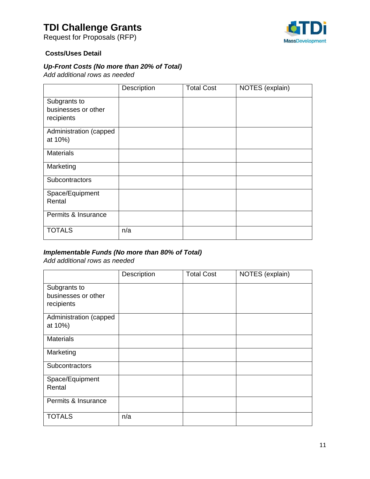Request for Proposals (RFP)



### **Costs/Uses Detail**

## *Up-Front Costs (No more than 20% of Total)*

*Add additional rows as needed*

|                        | Description | <b>Total Cost</b> | NOTES (explain) |
|------------------------|-------------|-------------------|-----------------|
| Subgrants to           |             |                   |                 |
| businesses or other    |             |                   |                 |
| recipients             |             |                   |                 |
| Administration (capped |             |                   |                 |
| at 10%)                |             |                   |                 |
| <b>Materials</b>       |             |                   |                 |
| Marketing              |             |                   |                 |
| Subcontractors         |             |                   |                 |
| Space/Equipment        |             |                   |                 |
| Rental                 |             |                   |                 |
| Permits & Insurance    |             |                   |                 |
| <b>TOTALS</b>          | n/a         |                   |                 |

### *Implementable Funds (No more than 80% of Total)*

*Add additional rows as needed*

|                                   | Description | <b>Total Cost</b> | NOTES (explain) |
|-----------------------------------|-------------|-------------------|-----------------|
| Subgrants to                      |             |                   |                 |
| businesses or other<br>recipients |             |                   |                 |
|                                   |             |                   |                 |
| Administration (capped            |             |                   |                 |
| at 10%)                           |             |                   |                 |
| <b>Materials</b>                  |             |                   |                 |
| Marketing                         |             |                   |                 |
| Subcontractors                    |             |                   |                 |
| Space/Equipment                   |             |                   |                 |
| Rental                            |             |                   |                 |
| Permits & Insurance               |             |                   |                 |
| <b>TOTALS</b>                     | n/a         |                   |                 |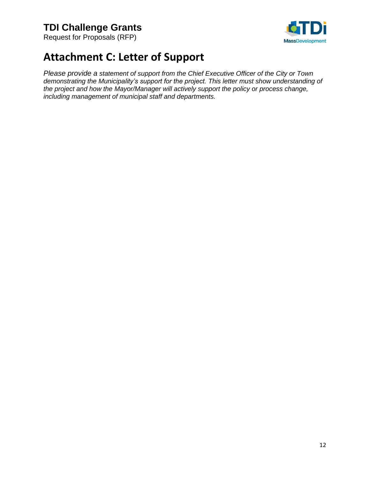Request for Proposals (RFP)



# **Attachment C: Letter of Support**

*Please provide a statement of support from the Chief Executive Officer of the City or Town demonstrating the Municipality's support for the project. This letter must show understanding of the project and how the Mayor/Manager will actively support the policy or process change, including management of municipal staff and departments.*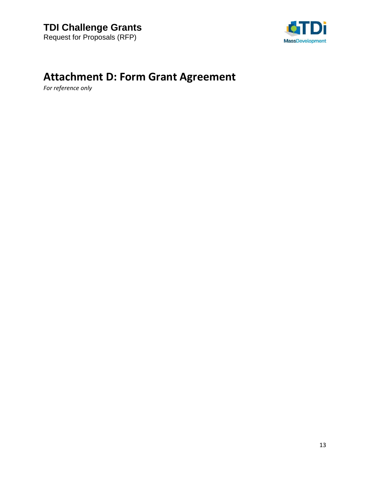

# **Attachment D: Form Grant Agreement**

*For reference only*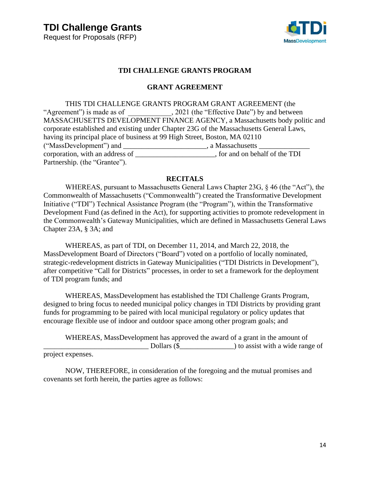

### **TDI CHALLENGE GRANTS PROGRAM**

#### **GRANT AGREEMENT**

THIS TDI CHALLENGE GRANTS PROGRAM GRANT AGREEMENT (the "Agreement") is made as of \_\_\_\_\_\_\_\_\_\_, 2021 (the "Effective Date") by and between MASSACHUSETTS DEVELOPMENT FINANCE AGENCY, a Massachusetts body politic and corporate established and existing under Chapter 23G of the Massachusetts General Laws, having its principal place of business at 99 High Street, Boston, MA 02110 ("MassDevelopment") and \_\_\_\_\_\_\_\_\_\_\_\_\_\_\_\_\_\_\_\_\_\_\_, a Massachusetts \_\_\_\_\_\_\_\_\_\_\_\_\_\_ corporation, with an address of the TDI corporation, with an address of Partnership. (the "Grantee").

#### **RECITALS**

WHEREAS, pursuant to Massachusetts General Laws Chapter 23G, § 46 (the "Act"), the Commonwealth of Massachusetts ("Commonwealth") created the Transformative Development Initiative ("TDI") Technical Assistance Program (the "Program"), within the Transformative Development Fund (as defined in the Act), for supporting activities to promote redevelopment in the Commonwealth's Gateway Municipalities, which are defined in Massachusetts General Laws Chapter 23A, § 3A; and

WHEREAS, as part of TDI, on December 11, 2014, and March 22, 2018, the MassDevelopment Board of Directors ("Board") voted on a portfolio of locally nominated, strategic-redevelopment districts in Gateway Municipalities ("TDI Districts in Development"), after competitive "Call for Districts" processes, in order to set a framework for the deployment of TDI program funds; and

WHEREAS, MassDevelopment has established the TDI Challenge Grants Program, designed to bring focus to needed municipal policy changes in TDI Districts by providing grant funds for programming to be paired with local municipal regulatory or policy updates that encourage flexible use of indoor and outdoor space among other program goals; and

WHEREAS, MassDevelopment has approved the award of a grant in the amount of \_\_\_\_\_\_\_\_\_\_\_\_\_\_\_\_\_\_\_\_\_\_\_\_\_\_\_\_\_ Dollars (\$\_\_\_\_\_\_\_\_\_\_\_\_\_\_\_) to assist with a wide range of project expenses.

NOW, THEREFORE, in consideration of the foregoing and the mutual promises and covenants set forth herein, the parties agree as follows: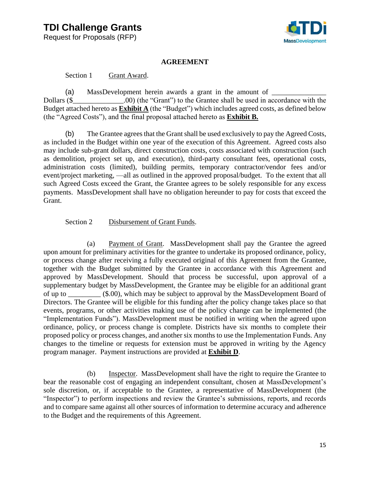Request for Proposals (RFP)



#### **AGREEMENT**

Section 1 Grant Award.

(a) MassDevelopment herein awards a grant in the amount of Dollars (\$ .00) (the "Grant") to the Grantee shall be used in accordance with the Budget attached hereto as **Exhibit A** (the "Budget") which includes agreed costs, as defined below (the "Agreed Costs"), and the final proposal attached hereto as **Exhibit B.**

(b) The Grantee agrees that the Grant shall be used exclusively to pay the Agreed Costs, as included in the Budget within one year of the execution of this Agreement. Agreed costs also may include sub-grant dollars, direct construction costs, costs associated with construction (such as demolition, project set up, and execution), third-party consultant fees, operational costs, administration costs (limited), building permits, temporary contractor/vendor fees and/or event/project marketing, —all as outlined in the approved proposal/budget. To the extent that all such Agreed Costs exceed the Grant, the Grantee agrees to be solely responsible for any excess payments. MassDevelopment shall have no obligation hereunder to pay for costs that exceed the Grant.

### Section 2 Disbursement of Grant Funds.

(a) Payment of Grant. MassDevelopment shall pay the Grantee the agreed upon amount for preliminary activities for the grantee to undertake its proposed ordinance, policy, or process change after receiving a fully executed original of this Agreement from the Grantee, together with the Budget submitted by the Grantee in accordance with this Agreement and approved by MassDevelopment. Should that process be successful, upon approval of a supplementary budget by MassDevelopment, the Grantee may be eligible for an additional grant of up to \_\_\_\_\_\_\_\_\_ (\$.00), which may be subject to approval by the MassDevelopment Board of Directors. The Grantee will be eligible for this funding after the policy change takes place so that events, programs, or other activities making use of the policy change can be implemented (the "Implementation Funds"). MassDevelopment must be notified in writing when the agreed upon ordinance, policy, or process change is complete. Districts have six months to complete their proposed policy or process changes, and another six months to use the Implementation Funds. Any changes to the timeline or requests for extension must be approved in writing by the Agency program manager. Payment instructions are provided at **Exhibit D**.

(b) Inspector. MassDevelopment shall have the right to require the Grantee to bear the reasonable cost of engaging an independent consultant, chosen at MassDevelopment's sole discretion, or, if acceptable to the Grantee, a representative of MassDevelopment (the "Inspector") to perform inspections and review the Grantee's submissions, reports, and records and to compare same against all other sources of information to determine accuracy and adherence to the Budget and the requirements of this Agreement.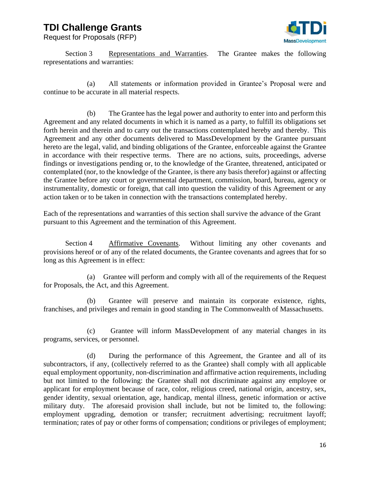Request for Proposals (RFP)



Section 3 Representations and Warranties. The Grantee makes the following representations and warranties:

(a) All statements or information provided in Grantee's Proposal were and continue to be accurate in all material respects.

(b) The Grantee has the legal power and authority to enter into and perform this Agreement and any related documents in which it is named as a party, to fulfill its obligations set forth herein and therein and to carry out the transactions contemplated hereby and thereby. This Agreement and any other documents delivered to MassDevelopment by the Grantee pursuant hereto are the legal, valid, and binding obligations of the Grantee, enforceable against the Grantee in accordance with their respective terms. There are no actions, suits, proceedings, adverse findings or investigations pending or, to the knowledge of the Grantee, threatened, anticipated or contemplated (nor, to the knowledge of the Grantee, is there any basis therefor) against or affecting the Grantee before any court or governmental department, commission, board, bureau, agency or instrumentality, domestic or foreign, that call into question the validity of this Agreement or any action taken or to be taken in connection with the transactions contemplated hereby.

Each of the representations and warranties of this section shall survive the advance of the Grant pursuant to this Agreement and the termination of this Agreement.

Section 4 Affirmative Covenants. Without limiting any other covenants and provisions hereof or of any of the related documents, the Grantee covenants and agrees that for so long as this Agreement is in effect:

(a) Grantee will perform and comply with all of the requirements of the Request for Proposals, the Act, and this Agreement.

(b) Grantee will preserve and maintain its corporate existence, rights, franchises, and privileges and remain in good standing in The Commonwealth of Massachusetts.

(c) Grantee will inform MassDevelopment of any material changes in its programs, services, or personnel.

(d) During the performance of this Agreement, the Grantee and all of its subcontractors, if any, (collectively referred to as the Grantee) shall comply with all applicable equal employment opportunity, non-discrimination and affirmative action requirements, including but not limited to the following: the Grantee shall not discriminate against any employee or applicant for employment because of race, color, religious creed, national origin, ancestry, sex, gender identity, sexual orientation, age, handicap, mental illness, genetic information or active military duty. The aforesaid provision shall include, but not be limited to, the following: employment upgrading, demotion or transfer; recruitment advertising; recruitment layoff; termination; rates of pay or other forms of compensation; conditions or privileges of employment;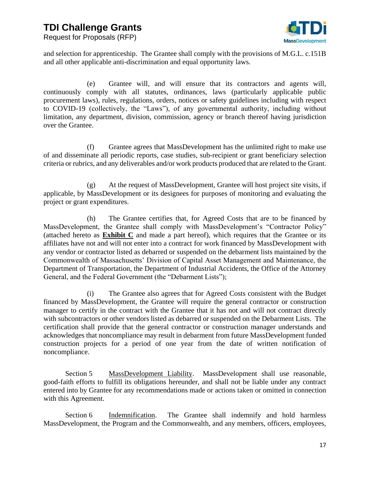

Request for Proposals (RFP)

and selection for apprenticeship. The Grantee shall comply with the provisions of M.G.L. c.151B and all other applicable anti-discrimination and equal opportunity laws.

(e) Grantee will, and will ensure that its contractors and agents will, continuously comply with all statutes, ordinances, laws (particularly applicable public procurement laws), rules, regulations, orders, notices or safety guidelines including with respect to COVID-19 (collectively, the "Laws"), of any governmental authority, including without limitation, any department, division, commission, agency or branch thereof having jurisdiction over the Grantee.

(f) Grantee agrees that MassDevelopment has the unlimited right to make use of and disseminate all periodic reports, case studies, sub-recipient or grant beneficiary selection criteria or rubrics, and any deliverables and/or work products produced that are related to the Grant.

(g) At the request of MassDevelopment, Grantee will host project site visits, if applicable, by MassDevelopment or its designees for purposes of monitoring and evaluating the project or grant expenditures.

(h) The Grantee certifies that, for Agreed Costs that are to be financed by MassDevelopment, the Grantee shall comply with MassDevelopment's "Contractor Policy" (attached hereto as **Exhibit C** and made a part hereof), which requires that the Grantee or its affiliates have not and will not enter into a contract for work financed by MassDevelopment with any vendor or contractor listed as debarred or suspended on the debarment lists maintained by the Commonwealth of Massachusetts' Division of Capital Asset Management and Maintenance, the Department of Transportation, the Department of Industrial Accidents, the Office of the Attorney General, and the Federal Government (the "Debarment Lists");

(i) The Grantee also agrees that for Agreed Costs consistent with the Budget financed by MassDevelopment, the Grantee will require the general contractor or construction manager to certify in the contract with the Grantee that it has not and will not contract directly with subcontractors or other vendors listed as debarred or suspended on the Debarment Lists. The certification shall provide that the general contractor or construction manager understands and acknowledges that noncompliance may result in debarment from future MassDevelopment funded construction projects for a period of one year from the date of written notification of noncompliance.

Section 5 MassDevelopment Liability. MassDevelopment shall use reasonable, good-faith efforts to fulfill its obligations hereunder, and shall not be liable under any contract entered into by Grantee for any recommendations made or actions taken or omitted in connection with this Agreement.

Section 6 Indemnification. The Grantee shall indemnify and hold harmless MassDevelopment, the Program and the Commonwealth, and any members, officers, employees,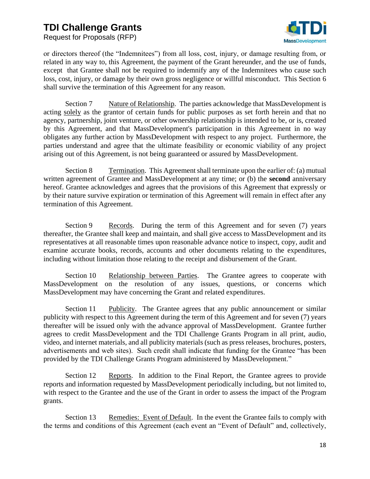Request for Proposals (RFP)



or directors thereof (the "Indemnitees") from all loss, cost, injury, or damage resulting from, or related in any way to, this Agreement, the payment of the Grant hereunder, and the use of funds, except that Grantee shall not be required to indemnify any of the Indemnitees who cause such loss, cost, injury, or damage by their own gross negligence or willful misconduct. This Section 6 shall survive the termination of this Agreement for any reason.

Section 7 Nature of Relationship. The parties acknowledge that MassDevelopment is acting solely as the grantor of certain funds for public purposes as set forth herein and that no agency, partnership, joint venture, or other ownership relationship is intended to be, or is, created by this Agreement, and that MassDevelopment's participation in this Agreement in no way obligates any further action by MassDevelopment with respect to any project. Furthermore, the parties understand and agree that the ultimate feasibility or economic viability of any project arising out of this Agreement, is not being guaranteed or assured by MassDevelopment.

Section 8 Termination. This Agreement shall terminate upon the earlier of: (a) mutual written agreement of Grantee and MassDevelopment at any time; or (b) the **second** anniversary hereof. Grantee acknowledges and agrees that the provisions of this Agreement that expressly or by their nature survive expiration or termination of this Agreement will remain in effect after any termination of this Agreement.

Section 9 Records. During the term of this Agreement and for seven (7) years thereafter, the Grantee shall keep and maintain, and shall give access to MassDevelopment and its representatives at all reasonable times upon reasonable advance notice to inspect, copy, audit and examine accurate books, records, accounts and other documents relating to the expenditures, including without limitation those relating to the receipt and disbursement of the Grant.

Section 10 Relationship between Parties. The Grantee agrees to cooperate with MassDevelopment on the resolution of any issues, questions, or concerns which MassDevelopment may have concerning the Grant and related expenditures.

Section 11 Publicity. The Grantee agrees that any public announcement or similar publicity with respect to this Agreement during the term of this Agreement and for seven (7) years thereafter will be issued only with the advance approval of MassDevelopment. Grantee further agrees to credit MassDevelopment and the TDI Challenge Grants Program in all print, audio, video, and internet materials, and all publicity materials (such as press releases, brochures, posters, advertisements and web sites). Such credit shall indicate that funding for the Grantee "has been provided by the TDI Challenge Grants Program administered by MassDevelopment."

Section 12 Reports. In addition to the Final Report, the Grantee agrees to provide reports and information requested by MassDevelopment periodically including, but not limited to, with respect to the Grantee and the use of the Grant in order to assess the impact of the Program grants.

Section 13 Remedies: Event of Default. In the event the Grantee fails to comply with the terms and conditions of this Agreement (each event an "Event of Default" and, collectively,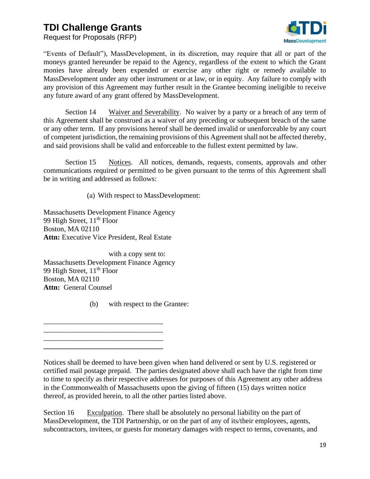Request for Proposals (RFP)



"Events of Default"), MassDevelopment, in its discretion, may require that all or part of the moneys granted hereunder be repaid to the Agency, regardless of the extent to which the Grant monies have already been expended or exercise any other right or remedy available to MassDevelopment under any other instrument or at law, or in equity. Any failure to comply with any provision of this Agreement may further result in the Grantee becoming ineligible to receive any future award of any grant offered by MassDevelopment.

Section 14 Waiver and Severability. No waiver by a party or a breach of any term of this Agreement shall be construed as a waiver of any preceding or subsequent breach of the same or any other term. If any provisions hereof shall be deemed invalid or unenforceable by any court of competent jurisdiction, the remaining provisions of this Agreement shall not be affected thereby, and said provisions shall be valid and enforceable to the fullest extent permitted by law.

Section 15 Notices. All notices, demands, requests, consents, approvals and other communications required or permitted to be given pursuant to the terms of this Agreement shall be in writing and addressed as follows:

(a) With respect to MassDevelopment:

Massachusetts Development Finance Agency 99 High Street, 11<sup>th</sup> Floor Boston, MA 02110 **Attn:** Executive Vice President, Real Estate

with a copy sent to: Massachusetts Development Finance Agency 99 High Street, 11<sup>th</sup> Floor Boston, MA 02110 Attn: General Counsel

(b) with respect to the Grantee:

\_\_\_\_\_\_\_\_\_\_\_\_\_\_\_\_\_\_\_\_\_\_\_\_\_\_\_\_\_\_\_\_\_ \_\_\_\_\_\_\_\_\_\_\_\_\_\_\_\_\_\_\_\_\_\_\_\_\_\_\_\_\_\_\_\_\_

\_\_\_\_\_\_\_\_\_\_\_\_\_\_\_\_\_\_\_\_\_\_\_\_\_\_\_\_\_\_\_\_\_ **\_\_\_\_\_\_\_\_\_\_\_\_\_\_\_\_\_\_\_\_\_\_\_\_\_\_\_\_\_\_\_\_\_**

Notices shall be deemed to have been given when hand delivered or sent by U.S. registered or certified mail postage prepaid. The parties designated above shall each have the right from time to time to specify as their respective addresses for purposes of this Agreement any other address in the Commonwealth of Massachusetts upon the giving of fifteen (15) days written notice thereof, as provided herein, to all the other parties listed above.

Section 16 Exculpation. There shall be absolutely no personal liability on the part of MassDevelopment, the TDI Partnership, or on the part of any of its/their employees, agents, subcontractors, invitees, or guests for monetary damages with respect to terms, covenants, and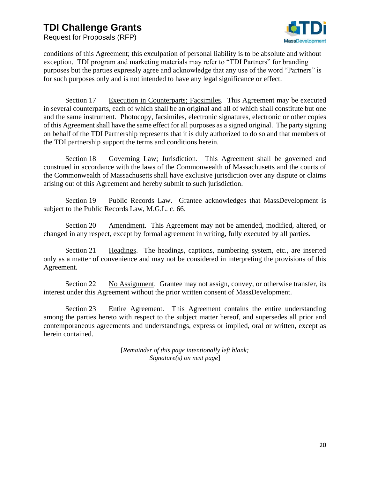Request for Proposals (RFP)



conditions of this Agreement; this exculpation of personal liability is to be absolute and without exception. TDI program and marketing materials may refer to "TDI Partners" for branding purposes but the parties expressly agree and acknowledge that any use of the word "Partners" is for such purposes only and is not intended to have any legal significance or effect.

Section 17 Execution in Counterparts; Facsimiles. This Agreement may be executed in several counterparts, each of which shall be an original and all of which shall constitute but one and the same instrument. Photocopy, facsimiles, electronic signatures, electronic or other copies of this Agreement shall have the same effect for all purposes as a signed original. The party signing on behalf of the TDI Partnership represents that it is duly authorized to do so and that members of the TDI partnership support the terms and conditions herein.

Section 18 Governing Law; Jurisdiction. This Agreement shall be governed and construed in accordance with the laws of the Commonwealth of Massachusetts and the courts of the Commonwealth of Massachusetts shall have exclusive jurisdiction over any dispute or claims arising out of this Agreement and hereby submit to such jurisdiction.

Section 19 Public Records Law. Grantee acknowledges that MassDevelopment is subject to the Public Records Law, M.G.L. c. 66.

Section 20 Amendment. This Agreement may not be amended, modified, altered, or changed in any respect, except by formal agreement in writing, fully executed by all parties.

Section 21 Headings. The headings, captions, numbering system, etc., are inserted only as a matter of convenience and may not be considered in interpreting the provisions of this Agreement.

Section 22 No Assignment. Grantee may not assign, convey, or otherwise transfer, its interest under this Agreement without the prior written consent of MassDevelopment.

Section 23 Entire Agreement. This Agreement contains the entire understanding among the parties hereto with respect to the subject matter hereof, and supersedes all prior and contemporaneous agreements and understandings, express or implied, oral or written, except as herein contained.

> [*Remainder of this page intentionally left blank; Signature(s) on next page*]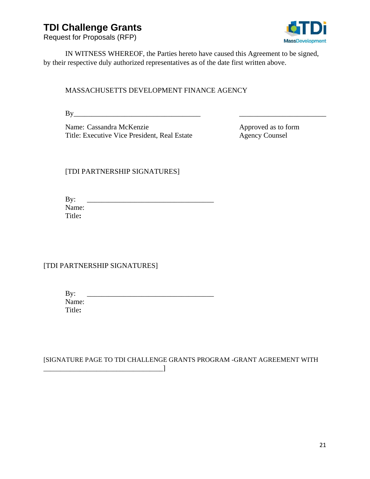Request for Proposals (RFP)



IN WITNESS WHEREOF, the Parties hereto have caused this Agreement to be signed, by their respective duly authorized representatives as of the date first written above.

### MASSACHUSETTS DEVELOPMENT FINANCE AGENCY

 $\mathbf{By}$ 

Name: Cassandra McKenzie Approved as to form Title: Executive Vice President, Real Estate Agency Counsel

[TDI PARTNERSHIP SIGNATURES]

By: \_\_\_\_\_\_\_\_\_\_\_\_\_\_\_\_\_\_\_\_\_\_\_\_\_\_\_\_\_\_\_\_\_\_\_ Name: Title**:**

[TDI PARTNERSHIP SIGNATURES]

\_\_\_\_\_\_\_\_\_\_\_\_\_\_\_\_\_\_\_\_\_\_\_\_\_\_\_\_\_\_\_\_\_\_\_\_]

By: \_\_\_\_\_\_\_\_\_\_\_\_\_\_\_\_\_\_\_\_\_\_\_\_\_\_\_\_\_\_\_\_\_\_\_ Name: Title**:**

[SIGNATURE PAGE TO TDI CHALLENGE GRANTS PROGRAM -GRANT AGREEMENT WITH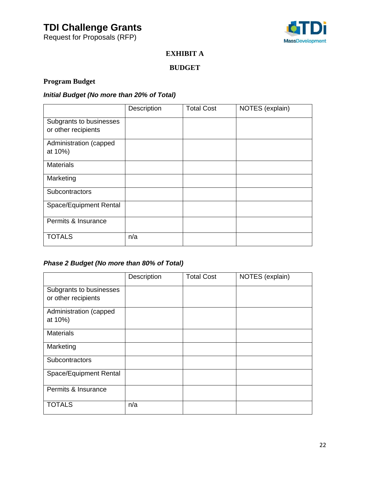Request for Proposals (RFP)



### **EXHIBIT A**

### **BUDGET**

## **Program Budget**

### *Initial Budget (No more than 20% of Total)*

|                                   | Description | <b>Total Cost</b> | NOTES (explain) |
|-----------------------------------|-------------|-------------------|-----------------|
| Subgrants to businesses           |             |                   |                 |
| or other recipients               |             |                   |                 |
| Administration (capped<br>at 10%) |             |                   |                 |
| <b>Materials</b>                  |             |                   |                 |
| Marketing                         |             |                   |                 |
| Subcontractors                    |             |                   |                 |
| Space/Equipment Rental            |             |                   |                 |
| Permits & Insurance               |             |                   |                 |
| <b>TOTALS</b>                     | n/a         |                   |                 |

## *Phase 2 Budget (No more than 80% of Total)*

|                                                | Description | <b>Total Cost</b> | NOTES (explain) |
|------------------------------------------------|-------------|-------------------|-----------------|
| Subgrants to businesses<br>or other recipients |             |                   |                 |
| Administration (capped<br>at 10%)              |             |                   |                 |
| <b>Materials</b>                               |             |                   |                 |
| Marketing                                      |             |                   |                 |
| Subcontractors                                 |             |                   |                 |
| Space/Equipment Rental                         |             |                   |                 |
| Permits & Insurance                            |             |                   |                 |
| <b>TOTALS</b>                                  | n/a         |                   |                 |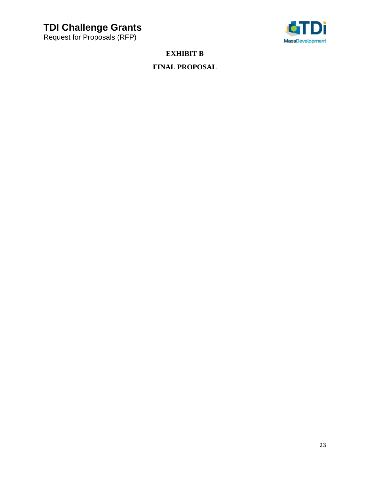Request for Proposals (RFP)



**EXHIBIT B**

## **FINAL PROPOSAL**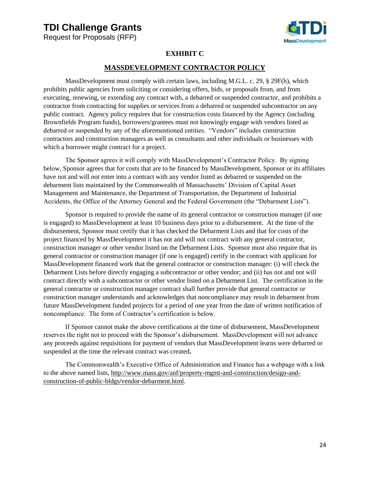Request for Proposals (RFP)



### **EXHIBIT C**

### **MASSDEVELOPMENT CONTRACTOR POLICY**

MassDevelopment must comply with certain laws, including M.G.L. c. 29, § 29F(h), which prohibits public agencies from soliciting or considering offers, bids, or proposals from, and from executing, renewing, or extending any contract with, a debarred or suspended contractor, and prohibits a contractor from contracting for supplies or services from a debarred or suspended subcontractor on any public contract. Agency policy requires that for construction costs financed by the Agency (including Brownfields Program funds), borrowers/grantees must not knowingly engage with vendors listed as debarred or suspended by any of the aforementioned entities. "Vendors" includes construction contractors and construction managers as well as consultants and other individuals or businesses with which a borrower might contract for a project.

The Sponsor agrees it will comply with MassDevelopment's Contractor Policy. By signing below, Sponsor agrees that for costs that are to be financed by MassDevelopment, Sponsor or its affiliates have not and will not enter into a contract with any vendor listed as debarred or suspended on the debarment lists maintained by the Commonwealth of Massachusetts' Division of Capital Asset Management and Maintenance, the Department of Transportation, the Department of Industrial Accidents, the Office of the Attorney General and the Federal Government (the "Debarment Lists").

Sponsor is required to provide the name of its general contractor or construction manager (if one is engaged) to MassDevelopment at least 10 business days prior to a disbursement. At the time of the disbursement, Sponsor must certify that it has checked the Debarment Lists and that for costs of the project financed by MassDevelopment it has not and will not contract with any general contractor, construction manager or other vendor listed on the Debarment Lists. Sponsor must also require that its general contractor or construction manager (if one is engaged) certify in the contract with applicant for MassDevelopment financed work that the general contractor or construction manager: (i) will check the Debarment Lists before directly engaging a subcontractor or other vendor; and (ii) has not and not will contract directly with a subcontractor or other vendor listed on a Debarment List. The certification in the general contractor or construction manager contract shall further provide that general contractor or construction manager understands and acknowledges that noncompliance may result in debarment from future MassDevelopment funded projects for a period of one year from the date of written notification of noncompliance. The form of Contractor's certification is below.

If Sponsor cannot make the above certifications at the time of disbursement, MassDevelopment reserves the right not to proceed with the Sponsor's disbursement. MassDevelopment will not advance any proceeds against requisitions for payment of vendors that MassDevelopment learns were debarred or suspended at the time the relevant contract was created**.** 

The Commonwealth's Executive Office of Administration and Finance has a webpage with a link to the above named lists, http://www.mass.gov/anf/property-mgmt-and-construction/design-andconstruction-of-public-bldgs/vendor-debarment.html.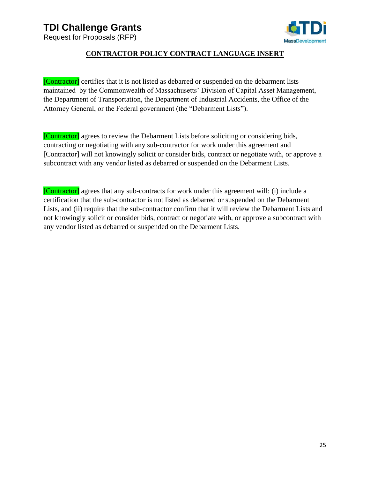Request for Proposals (RFP)



### **CONTRACTOR POLICY CONTRACT LANGUAGE INSERT**

[Contractor] certifies that it is not listed as debarred or suspended on the debarment lists maintained by the Commonwealth of Massachusetts' Division of Capital Asset Management, the Department of Transportation, the Department of Industrial Accidents, the Office of the Attorney General, or the Federal government (the "Debarment Lists").

[Contractor] agrees to review the Debarment Lists before soliciting or considering bids, contracting or negotiating with any sub-contractor for work under this agreement and [Contractor] will not knowingly solicit or consider bids, contract or negotiate with, or approve a subcontract with any vendor listed as debarred or suspended on the Debarment Lists.

[Contractor] agrees that any sub-contracts for work under this agreement will: (i) include a certification that the sub-contractor is not listed as debarred or suspended on the Debarment Lists, and (ii) require that the sub-contractor confirm that it will review the Debarment Lists and not knowingly solicit or consider bids, contract or negotiate with, or approve a subcontract with any vendor listed as debarred or suspended on the Debarment Lists.